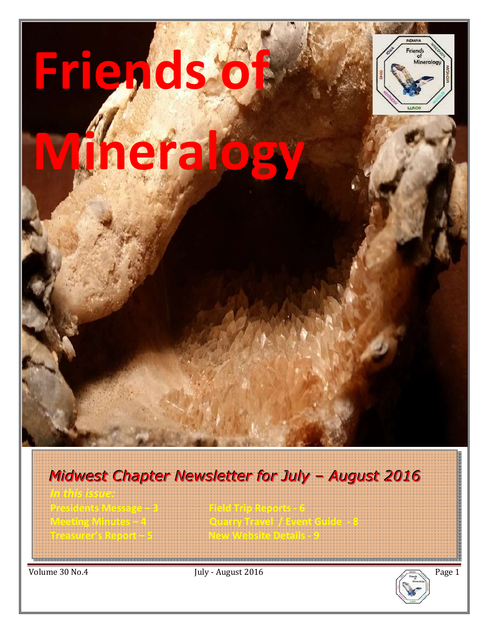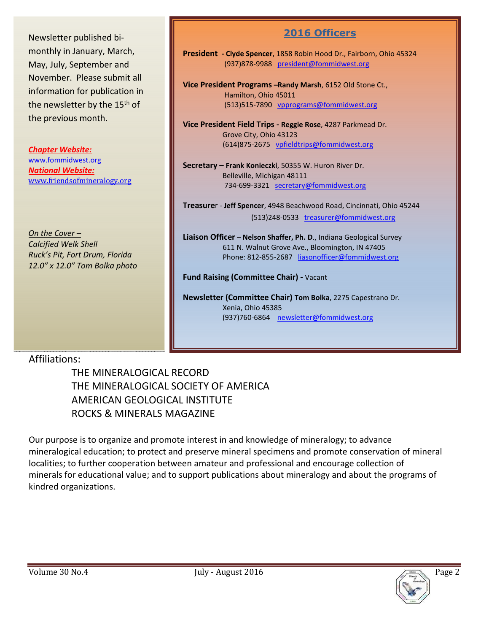Newsletter published bimonthly in January, March, May, July, September and November. Please submit all information for publication in the newsletter by the 15<sup>th</sup> of the previous month.

*Chapter Website:*  www.fommidwest.org *National Website:*  www.friendsofmineralogy.org

*On the Cover – Calcified Welk Shell Ruck's Pit, Fort Drum, Florida 12.0" x 12.0" Tom Bolka photo* 

## **2016 Officers**

**President - Clyde Spencer**, 1858 Robin Hood Dr., Fairborn, Ohio 45324 (937)878-9988 president@fommidwest.org

**Vice President Programs –Randy Marsh**, 6152 Old Stone Ct., Hamilton, Ohio 45011 (513)515-7890 vpprograms@fommidwest.org

**Vice President Field Trips - Reggie Rose**, 4287 Parkmead Dr. Grove City, Ohio 43123 (614)875-2675 vpfieldtrips@fommidwest.org

**Secretary – Frank Konieczki**, 50355 W. Huron River Dr. Belleville, Michigan 48111 734-699-3321 secretary@fommidwest.org

**Treasure**r - **Jeff Spencer**, 4948 Beachwood Road, Cincinnati, Ohio 45244 (513)248-0533 treasurer@fommidwest.org

**Liaison Officer** – **Nelson Shaffer, Ph. D**., Indiana Geological Survey 611 N. Walnut Grove Ave., Bloomington, IN 47405 Phone: 812-855-2687 liasonofficer@fommidwest.org

**Fund Raising (Committee Chair) -** Vacant

**Newsletter (Committee Chair) Tom Bolka**, 2275 Capestrano Dr. Xenia, Ohio 45385 (937)760-6864 newsletter@fommidwest.org

## Affiliations:

 THE MINERALOGICAL RECORD THE MINERALOGICAL SOCIETY OF AMERICA AMERICAN GEOLOGICAL INSTITUTE ROCKS & MINERALS MAGAZINE

Our purpose is to organize and promote interest in and knowledge of mineralogy; to advance mineralogical education; to protect and preserve mineral specimens and promote conservation of mineral localities; to further cooperation between amateur and professional and encourage collection of minerals for educational value; and to support publications about mineralogy and about the programs of kindred organizations.

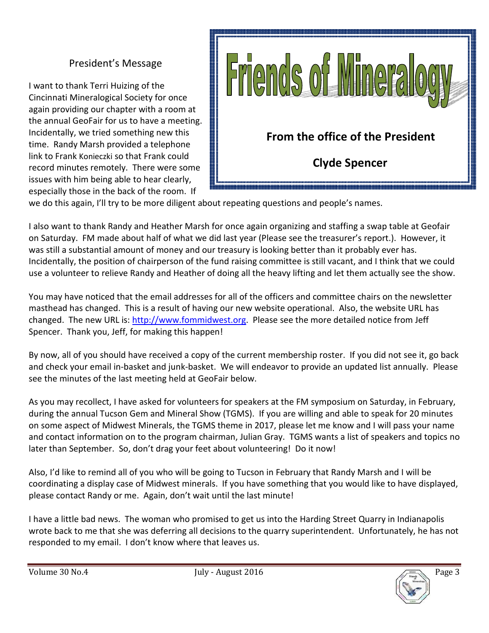## President's Message

I want to thank Terri Huizing of the Cincinnati Mineralogical Society for once again providing our chapter with a room at the annual GeoFair for us to have a meeting. Incidentally, we tried something new this time. Randy Marsh provided a telephone link to Frank Konieczki so that Frank could record minutes remotely. There were some issues with him being able to hear clearly, especially those in the back of the room. If



we do this again, I'll try to be more diligent about repeating questions and people's names.

I also want to thank Randy and Heather Marsh for once again organizing and staffing a swap table at Geofair on Saturday. FM made about half of what we did last year (Please see the treasurer's report.). However, it was still a substantial amount of money and our treasury is looking better than it probably ever has. Incidentally, the position of chairperson of the fund raising committee is still vacant, and I think that we could use a volunteer to relieve Randy and Heather of doing all the heavy lifting and let them actually see the show.

You may have noticed that the email addresses for all of the officers and committee chairs on the newsletter masthead has changed. This is a result of having our new website operational. Also, the website URL has changed. The new URL is: http://www.fommidwest.org. Please see the more detailed notice from Jeff Spencer. Thank you, Jeff, for making this happen!

By now, all of you should have received a copy of the current membership roster. If you did not see it, go back and check your email in-basket and junk-basket. We will endeavor to provide an updated list annually. Please see the minutes of the last meeting held at GeoFair below.

As you may recollect, I have asked for volunteers for speakers at the FM symposium on Saturday, in February, during the annual Tucson Gem and Mineral Show (TGMS). If you are willing and able to speak for 20 minutes on some aspect of Midwest Minerals, the TGMS theme in 2017, please let me know and I will pass your name and contact information on to the program chairman, Julian Gray. TGMS wants a list of speakers and topics no later than September. So, don't drag your feet about volunteering! Do it now!

Also, I'd like to remind all of you who will be going to Tucson in February that Randy Marsh and I will be coordinating a display case of Midwest minerals. If you have something that you would like to have displayed, please contact Randy or me. Again, don't wait until the last minute!

I have a little bad news. The woman who promised to get us into the Harding Street Quarry in Indianapolis wrote back to me that she was deferring all decisions to the quarry superintendent. Unfortunately, he has not responded to my email. I don't know where that leaves us.

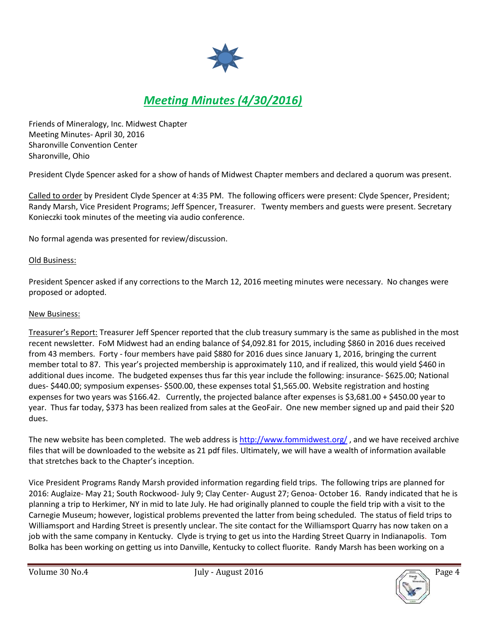

# *Meeting Minutes (4/30/2016)*

Friends of Mineralogy, Inc. Midwest Chapter Meeting Minutes- April 30, 2016 Sharonville Convention Center Sharonville, Ohio

President Clyde Spencer asked for a show of hands of Midwest Chapter members and declared a quorum was present.

Called to order by President Clyde Spencer at 4:35 PM. The following officers were present: Clyde Spencer, President; Randy Marsh, Vice President Programs; Jeff Spencer, Treasurer. Twenty members and guests were present. Secretary Konieczki took minutes of the meeting via audio conference.

No formal agenda was presented for review/discussion.

#### Old Business:

President Spencer asked if any corrections to the March 12, 2016 meeting minutes were necessary. No changes were proposed or adopted.

#### New Business:

Treasurer's Report: Treasurer Jeff Spencer reported that the club treasury summary is the same as published in the most recent newsletter. FoM Midwest had an ending balance of \$4,092.81 for 2015, including \$860 in 2016 dues received from 43 members. Forty - four members have paid \$880 for 2016 dues since January 1, 2016, bringing the current member total to 87. This year's projected membership is approximately 110, and if realized, this would yield \$460 in additional dues income. The budgeted expenses thus far this year include the following: insurance- \$625.00; National dues- \$440.00; symposium expenses- \$500.00, these expenses total \$1,565.00. Website registration and hosting expenses for two years was \$166.42. Currently, the projected balance after expenses is \$3,681.00 + \$450.00 year to year. Thus far today, \$373 has been realized from sales at the GeoFair. One new member signed up and paid their \$20 dues.

The new website has been completed. The web address is http://www.fommidwest.org/ , and we have received archive files that will be downloaded to the website as 21 pdf files. Ultimately, we will have a wealth of information available that stretches back to the Chapter's inception.

Vice President Programs Randy Marsh provided information regarding field trips. The following trips are planned for 2016: Auglaize- May 21; South Rockwood- July 9; Clay Center- August 27; Genoa- October 16. Randy indicated that he is planning a trip to Herkimer, NY in mid to late July. He had originally planned to couple the field trip with a visit to the Carnegie Museum; however, logistical problems prevented the latter from being scheduled. The status of field trips to Williamsport and Harding Street is presently unclear. The site contact for the Williamsport Quarry has now taken on a job with the same company in Kentucky. Clyde is trying to get us into the Harding Street Quarry in Indianapolis. Tom Bolka has been working on getting us into Danville, Kentucky to collect fluorite. Randy Marsh has been working on a

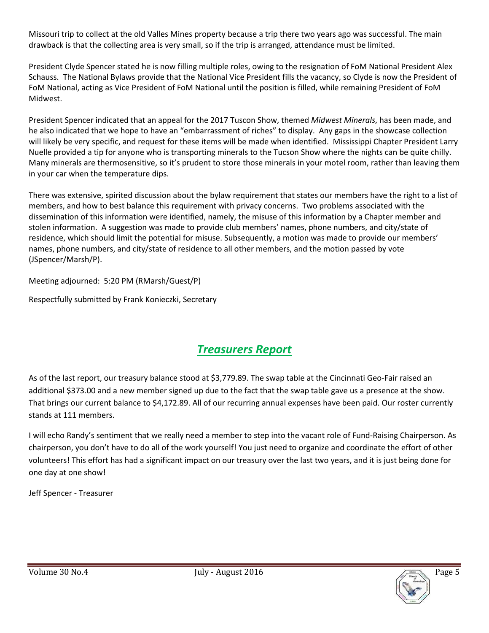Missouri trip to collect at the old Valles Mines property because a trip there two years ago was successful. The main drawback is that the collecting area is very small, so if the trip is arranged, attendance must be limited.

President Clyde Spencer stated he is now filling multiple roles, owing to the resignation of FoM National President Alex Schauss. The National Bylaws provide that the National Vice President fills the vacancy, so Clyde is now the President of FoM National, acting as Vice President of FoM National until the position is filled, while remaining President of FoM Midwest.

President Spencer indicated that an appeal for the 2017 Tuscon Show, themed *Midwest Minerals*, has been made, and he also indicated that we hope to have an "embarrassment of riches" to display. Any gaps in the showcase collection will likely be very specific, and request for these items will be made when identified. Mississippi Chapter President Larry Nuelle provided a tip for anyone who is transporting minerals to the Tucson Show where the nights can be quite chilly. Many minerals are thermosensitive, so it's prudent to store those minerals in your motel room, rather than leaving them in your car when the temperature dips.

There was extensive, spirited discussion about the bylaw requirement that states our members have the right to a list of members, and how to best balance this requirement with privacy concerns. Two problems associated with the dissemination of this information were identified, namely, the misuse of this information by a Chapter member and stolen information. A suggestion was made to provide club members' names, phone numbers, and city/state of residence, which should limit the potential for misuse. Subsequently, a motion was made to provide our members' names, phone numbers, and city/state of residence to all other members, and the motion passed by vote (JSpencer/Marsh/P).

Meeting adjourned: 5:20 PM (RMarsh/Guest/P)

Respectfully submitted by Frank Konieczki, Secretary

# *Treasurers Report*

As of the last report, our treasury balance stood at \$3,779.89. The swap table at the Cincinnati Geo-Fair raised an additional \$373.00 and a new member signed up due to the fact that the swap table gave us a presence at the show. That brings our current balance to \$4,172.89. All of our recurring annual expenses have been paid. Our roster currently stands at 111 members.

I will echo Randy's sentiment that we really need a member to step into the vacant role of Fund-Raising Chairperson. As chairperson, you don't have to do all of the work yourself! You just need to organize and coordinate the effort of other volunteers! This effort has had a significant impact on our treasury over the last two years, and it is just being done for one day at one show!

Jeff Spencer - Treasurer

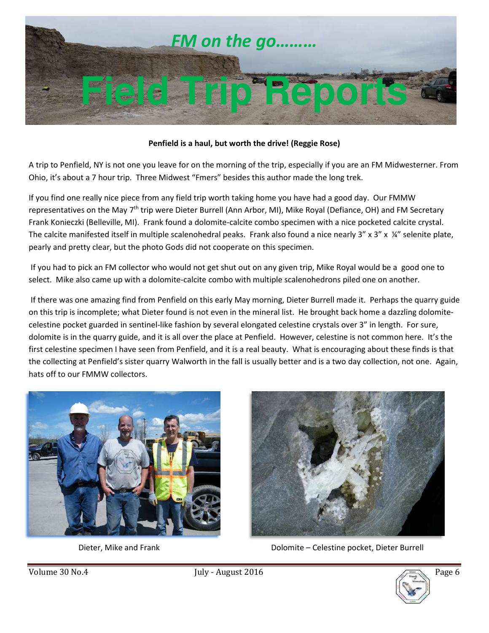

#### **Penfield is a haul, but worth the drive! (Reggie Rose)**

A trip to Penfield, NY is not one you leave for on the morning of the trip, especially if you are an FM Midwesterner. From Ohio, it's about a 7 hour trip. Three Midwest "Fmers" besides this author made the long trek.

If you find one really nice piece from any field trip worth taking home you have had a good day. Our FMMW representatives on the May 7<sup>th</sup> trip were Dieter Burrell (Ann Arbor, MI), Mike Royal (Defiance, OH) and FM Secretary Frank Konieczki (Belleville, MI). Frank found a dolomite-calcite combo specimen with a nice pocketed calcite crystal. The calcite manifested itself in multiple scalenohedral peaks. Frank also found a nice nearly  $3''$  x  $3''$  x  $\frac{1}{4}$ " selenite plate, pearly and pretty clear, but the photo Gods did not cooperate on this specimen.

 If you had to pick an FM collector who would not get shut out on any given trip, Mike Royal would be a good one to select. Mike also came up with a dolomite-calcite combo with multiple scalenohedrons piled one on another.

 If there was one amazing find from Penfield on this early May morning, Dieter Burrell made it. Perhaps the quarry guide on this trip is incomplete; what Dieter found is not even in the mineral list. He brought back home a dazzling dolomitecelestine pocket guarded in sentinel-like fashion by several elongated celestine crystals over 3" in length. For sure, dolomite is in the quarry guide, and it is all over the place at Penfield. However, celestine is not common here. It's the first celestine specimen I have seen from Penfield, and it is a real beauty. What is encouraging about these finds is that the collecting at Penfield's sister quarry Walworth in the fall is usually better and is a two day collection, not one. Again, hats off to our FMMW collectors.





Dieter, Mike and Frank Dolomite – Celestine pocket, Dieter Burrell

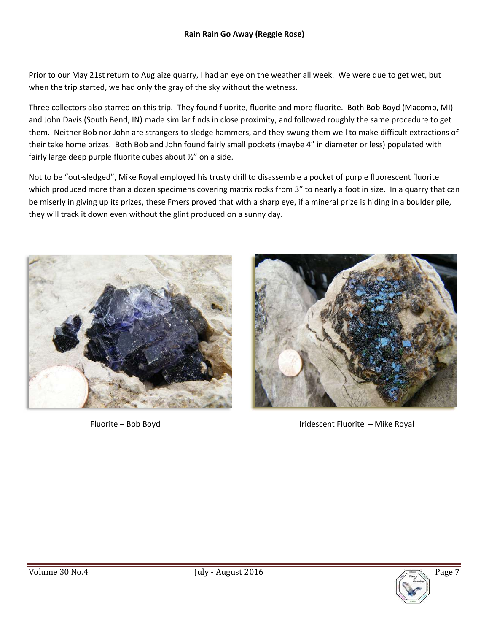Prior to our May 21st return to Auglaize quarry, I had an eye on the weather all week. We were due to get wet, but when the trip started, we had only the gray of the sky without the wetness.

Three collectors also starred on this trip. They found fluorite, fluorite and more fluorite. Both Bob Boyd (Macomb, MI) and John Davis (South Bend, IN) made similar finds in close proximity, and followed roughly the same procedure to get them. Neither Bob nor John are strangers to sledge hammers, and they swung them well to make difficult extractions of their take home prizes. Both Bob and John found fairly small pockets (maybe 4" in diameter or less) populated with fairly large deep purple fluorite cubes about ½" on a side.

Not to be "out-sledged", Mike Royal employed his trusty drill to disassemble a pocket of purple fluorescent fluorite which produced more than a dozen specimens covering matrix rocks from 3" to nearly a foot in size. In a quarry that can be miserly in giving up its prizes, these Fmers proved that with a sharp eye, if a mineral prize is hiding in a boulder pile, they will track it down even without the glint produced on a sunny day.





Fluorite – Bob Boyd **Iridescent Fluorite – Mike Royal** 

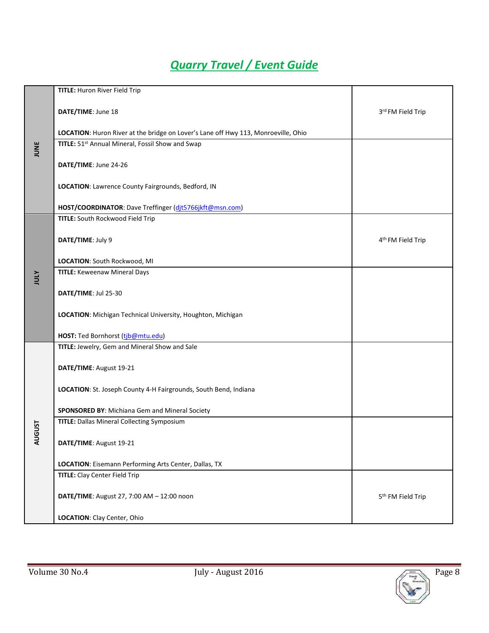# *Quarry Travel / Event Guide*

| JUNE              | TITLE: Huron River Field Trip                                                      |                               |
|-------------------|------------------------------------------------------------------------------------|-------------------------------|
|                   | DATE/TIME: June 18                                                                 | 3rd FM Field Trip             |
|                   | LOCATION: Huron River at the bridge on Lover's Lane off Hwy 113, Monroeville, Ohio |                               |
|                   | TITLE: 51 <sup>st</sup> Annual Mineral, Fossil Show and Swap                       |                               |
|                   | DATE/TIME: June 24-26                                                              |                               |
|                   | LOCATION: Lawrence County Fairgrounds, Bedford, IN                                 |                               |
|                   | HOST/COORDINATOR: Dave Treffinger (dit5766jkft@msn.com)                            |                               |
| <b>ATOL</b>       | TITLE: South Rockwood Field Trip                                                   |                               |
|                   | DATE/TIME: July 9                                                                  | 4 <sup>th</sup> FM Field Trip |
|                   | LOCATION: South Rockwood, MI                                                       |                               |
|                   | <b>TITLE: Keweenaw Mineral Days</b>                                                |                               |
|                   | DATE/TIME: Jul 25-30                                                               |                               |
|                   | LOCATION: Michigan Technical University, Houghton, Michigan                        |                               |
|                   | HOST: Ted Bornhorst (tib@mtu.edu)                                                  |                               |
|                   | TITLE: Jewelry, Gem and Mineral Show and Sale                                      |                               |
| <b>UGUST</b><br>⋖ | DATE/TIME: August 19-21                                                            |                               |
|                   | LOCATION: St. Joseph County 4-H Fairgrounds, South Bend, Indiana                   |                               |
|                   | SPONSORED BY: Michiana Gem and Mineral Society                                     |                               |
|                   | <b>TITLE: Dallas Mineral Collecting Symposium</b>                                  |                               |
|                   | DATE/TIME: August 19-21                                                            |                               |
|                   | LOCATION: Eisemann Performing Arts Center, Dallas, TX                              |                               |
|                   | <b>TITLE:</b> Clay Center Field Trip                                               |                               |
|                   | DATE/TIME: August 27, 7:00 AM - 12:00 noon                                         | 5 <sup>th</sup> FM Field Trip |
|                   | LOCATION: Clay Center, Ohio                                                        |                               |
|                   |                                                                                    |                               |